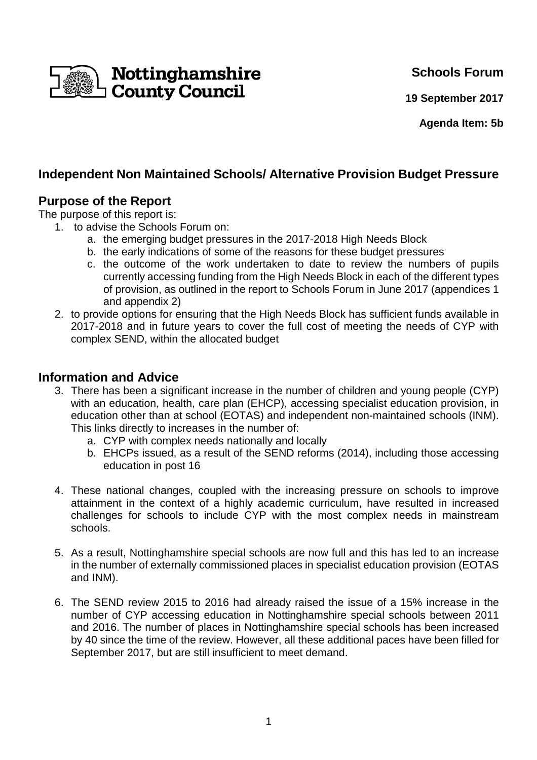

**Schools Forum**

**19 September 2017**

**Agenda Item: 5b**

# **Independent Non Maintained Schools/ Alternative Provision Budget Pressure**

## **Purpose of the Report**

The purpose of this report is:

- 1. to advise the Schools Forum on:
	- a. the emerging budget pressures in the 2017-2018 High Needs Block
	- b. the early indications of some of the reasons for these budget pressures
	- c. the outcome of the work undertaken to date to review the numbers of pupils currently accessing funding from the High Needs Block in each of the different types of provision, as outlined in the report to Schools Forum in June 2017 (appendices 1 and appendix 2)
- 2. to provide options for ensuring that the High Needs Block has sufficient funds available in 2017-2018 and in future years to cover the full cost of meeting the needs of CYP with complex SEND, within the allocated budget

### **Information and Advice**

- 3. There has been a significant increase in the number of children and young people (CYP) with an education, health, care plan (EHCP), accessing specialist education provision, in education other than at school (EOTAS) and independent non-maintained schools (INM). This links directly to increases in the number of:
	- a. CYP with complex needs nationally and locally
	- b. EHCPs issued, as a result of the SEND reforms (2014), including those accessing education in post 16
- 4. These national changes, coupled with the increasing pressure on schools to improve attainment in the context of a highly academic curriculum, have resulted in increased challenges for schools to include CYP with the most complex needs in mainstream schools.
- 5. As a result, Nottinghamshire special schools are now full and this has led to an increase in the number of externally commissioned places in specialist education provision (EOTAS and INM).
- 6. The SEND review 2015 to 2016 had already raised the issue of a 15% increase in the number of CYP accessing education in Nottinghamshire special schools between 2011 and 2016. The number of places in Nottinghamshire special schools has been increased by 40 since the time of the review. However, all these additional paces have been filled for September 2017, but are still insufficient to meet demand.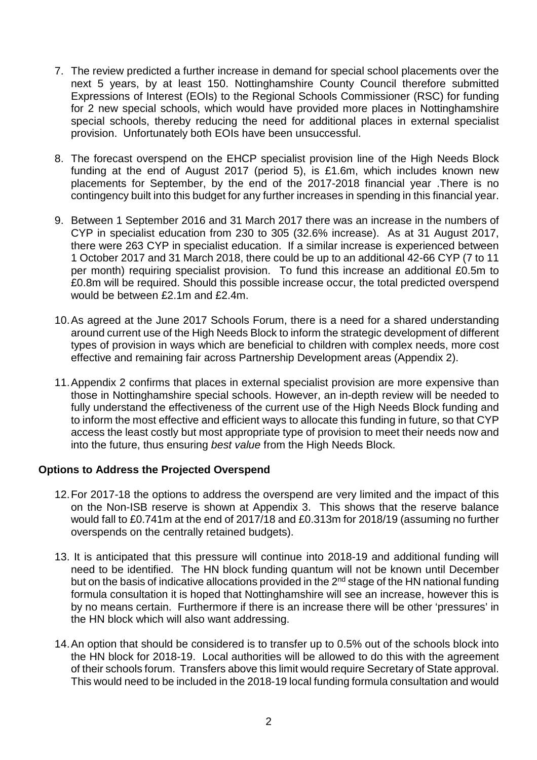- 7. The review predicted a further increase in demand for special school placements over the next 5 years, by at least 150. Nottinghamshire County Council therefore submitted Expressions of Interest (EOIs) to the Regional Schools Commissioner (RSC) for funding for 2 new special schools, which would have provided more places in Nottinghamshire special schools, thereby reducing the need for additional places in external specialist provision. Unfortunately both EOIs have been unsuccessful.
- 8. The forecast overspend on the EHCP specialist provision line of the High Needs Block funding at the end of August 2017 (period 5), is £1.6m, which includes known new placements for September, by the end of the 2017-2018 financial year .There is no contingency built into this budget for any further increases in spending in this financial year.
- 9. Between 1 September 2016 and 31 March 2017 there was an increase in the numbers of CYP in specialist education from 230 to 305 (32.6% increase). As at 31 August 2017, there were 263 CYP in specialist education. If a similar increase is experienced between 1 October 2017 and 31 March 2018, there could be up to an additional 42-66 CYP (7 to 11 per month) requiring specialist provision. To fund this increase an additional £0.5m to £0.8m will be required. Should this possible increase occur, the total predicted overspend would be between £2.1m and £2.4m.
- 10. As agreed at the June 2017 Schools Forum, there is a need for a shared understanding around current use of the High Needs Block to inform the strategic development of different types of provision in ways which are beneficial to children with complex needs, more cost effective and remaining fair across Partnership Development areas (Appendix 2).
- 11. Appendix 2 confirms that places in external specialist provision are more expensive than those in Nottinghamshire special schools. However, an in-depth review will be needed to fully understand the effectiveness of the current use of the High Needs Block funding and to inform the most effective and efficient ways to allocate this funding in future, so that CYP access the least costly but most appropriate type of provision to meet their needs now and into the future, thus ensuring best value from the High Needs Block.

#### **Options to Address the Projected Overspend**

- 12. For 2017-18 the options to address the overspend are very limited and the impact of this on the Non-ISB reserve is shown at Appendix 3. This shows that the reserve balance would fall to £0.741m at the end of 2017/18 and £0.313m for 2018/19 (assuming no further overspends on the centrally retained budgets).
- 13. It is anticipated that this pressure will continue into 2018-19 and additional funding will need to be identified. The HN block funding quantum will not be known until December but on the basis of indicative allocations provided in the 2<sup>nd</sup> stage of the HN national funding formula consultation it is hoped that Nottinghamshire will see an increase, however this is by no means certain. Furthermore if there is an increase there will be other 'pressures' in the HN block which will also want addressing.
- 14. An option that should be considered is to transfer up to 0.5% out of the schools block into the HN block for 2018-19. Local authorities will be allowed to do this with the agreement of their schools forum. Transfers above this limit would require Secretary of State approval. This would need to be included in the 2018-19 local funding formula consultation and would